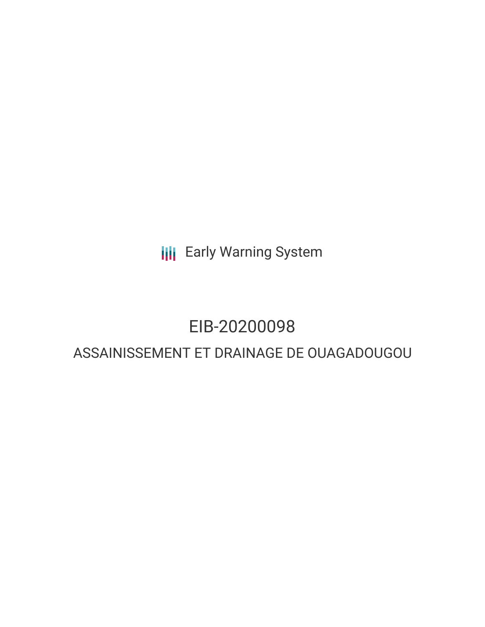**III** Early Warning System

# EIB-20200098

# ASSAINISSEMENT ET DRAINAGE DE OUAGADOUGOU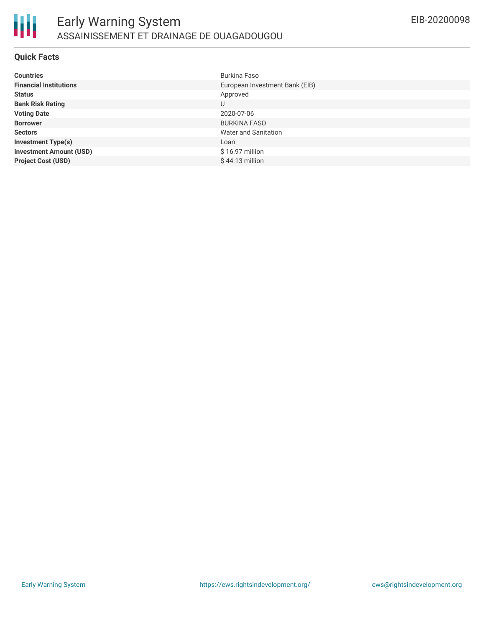

#### **Quick Facts**

| <b>Countries</b>               | Burkina Faso                   |
|--------------------------------|--------------------------------|
| <b>Financial Institutions</b>  | European Investment Bank (EIB) |
| <b>Status</b>                  | Approved                       |
| <b>Bank Risk Rating</b>        | U                              |
| <b>Voting Date</b>             | 2020-07-06                     |
| <b>Borrower</b>                | <b>BURKINA FASO</b>            |
| <b>Sectors</b>                 | Water and Sanitation           |
| <b>Investment Type(s)</b>      | Loan                           |
| <b>Investment Amount (USD)</b> | \$16.97 million                |
| <b>Project Cost (USD)</b>      | $$44.13$ million               |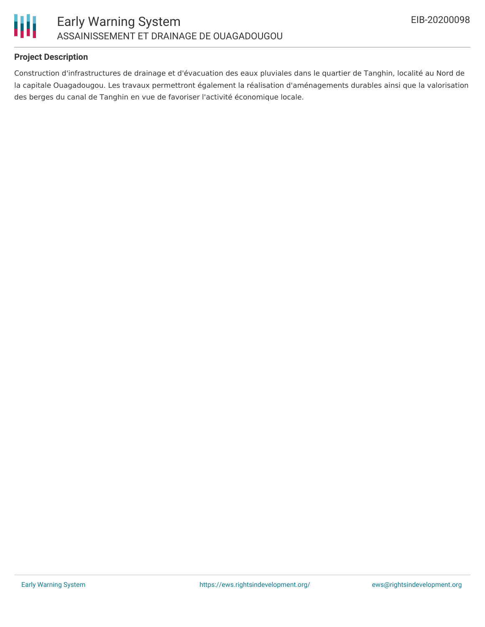

# **Project Description**

Construction d'infrastructures de drainage et d'évacuation des eaux pluviales dans le quartier de Tanghin, localité au Nord de la capitale Ouagadougou. Les travaux permettront également la réalisation d'aménagements durables ainsi que la valorisation des berges du canal de Tanghin en vue de favoriser l'activité économique locale.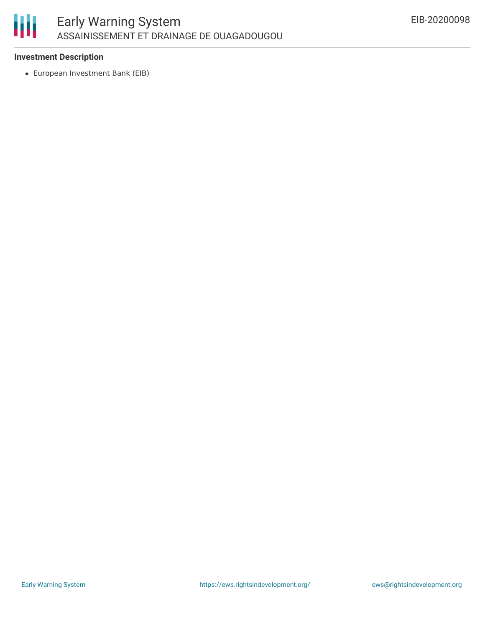

# **Investment Description**

European Investment Bank (EIB)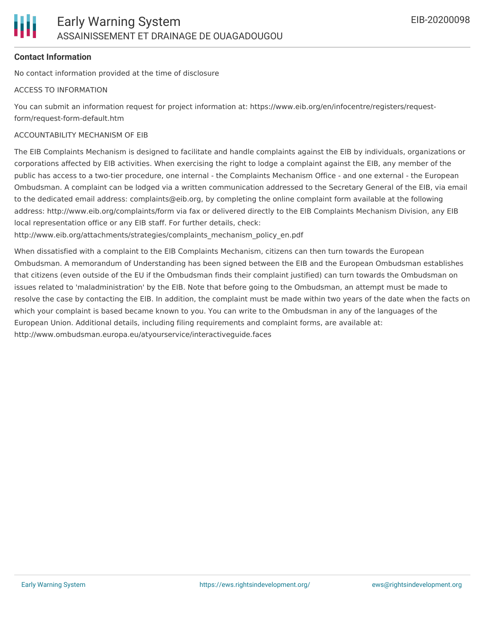

# **Contact Information**

No contact information provided at the time of disclosure

#### ACCESS TO INFORMATION

You can submit an information request for project information at: https://www.eib.org/en/infocentre/registers/requestform/request-form-default.htm

#### ACCOUNTABILITY MECHANISM OF EIB

The EIB Complaints Mechanism is designed to facilitate and handle complaints against the EIB by individuals, organizations or corporations affected by EIB activities. When exercising the right to lodge a complaint against the EIB, any member of the public has access to a two-tier procedure, one internal - the Complaints Mechanism Office - and one external - the European Ombudsman. A complaint can be lodged via a written communication addressed to the Secretary General of the EIB, via email to the dedicated email address: complaints@eib.org, by completing the online complaint form available at the following address: http://www.eib.org/complaints/form via fax or delivered directly to the EIB Complaints Mechanism Division, any EIB local representation office or any EIB staff. For further details, check:

http://www.eib.org/attachments/strategies/complaints\_mechanism\_policy\_en.pdf

When dissatisfied with a complaint to the EIB Complaints Mechanism, citizens can then turn towards the European Ombudsman. A memorandum of Understanding has been signed between the EIB and the European Ombudsman establishes that citizens (even outside of the EU if the Ombudsman finds their complaint justified) can turn towards the Ombudsman on issues related to 'maladministration' by the EIB. Note that before going to the Ombudsman, an attempt must be made to resolve the case by contacting the EIB. In addition, the complaint must be made within two years of the date when the facts on which your complaint is based became known to you. You can write to the Ombudsman in any of the languages of the European Union. Additional details, including filing requirements and complaint forms, are available at: http://www.ombudsman.europa.eu/atyourservice/interactiveguide.faces